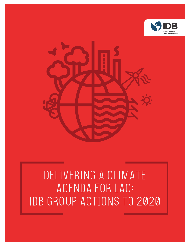



# DELIVERING A CLIMATE AGENDA FOR LAC: IDB GROUP ACTIONS TO 2020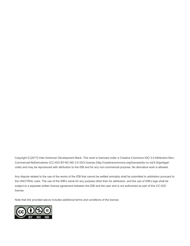Copyright © [2017] Inter-American Development Bank. This work is licensed under a Creative Commons IGO 3.0 Attribution-Non-Commercial-NoDerivatives (CC-IGO BY-NC-ND 3.0 IGO) license (http://creativecommons.org/licenses/by-nc-nd/3.0/igo/legalcode) and may be reproduced with attribution to the IDB and for any non-commercial purpose. No derivative work is allowed.

Any dispute related to the use of the works of the IDB that cannot be settled amicably shall be submitted to arbitration pursuant to the UNCITRAL rules. The use of the IDB's name for any purpose other than for attribution, and the use of IDB's logo shall be subject to a separate written license agreement between the IDB and the user and is not authorized as part of this CC-IGO license.

Note that link provided above includes additional terms and conditions of the license.

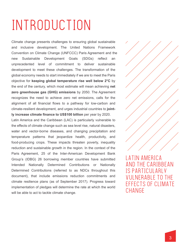# INTRODUCTION

Climate change presents challenges to ensuring global sustainable and inclusive development. The United Nations Framework Convention on Climate Change (UNFCCC) Paris Agreement and the new Sustainable Development Goals (SDGs) reflect an unprecedented level of commitment to deliver sustainable development to meet these challenges. The transformation of the global economy needs to start immediately if we are to meet the Paris objective for **keeping global temperature rise well below 2°C** by the end of the century, which most estimate will mean achieving **net zero greenhouse gas (GHG) emissions** by 2050. The Agreement recognizes the need to achieve zero net emissions, calls for the alignment of all financial flows to a pathway for low-carbon and climate-resilient development, and urges industrial countries to **jointly increase climate finance to US\$100 billion** per year by 2020.

Latin America and the Caribbean (LAC) is particularly vulnerable to the effects of climate change such as sea level rise, natural disasters, water and vector-borne diseases, and changing precipitation and temperature patterns that jeopardize health, productivity, and food-producing crops. These impacts threaten poverty, inequality reduction and sustainable growth in the region. In the context of the Paris Agreement, 25 of the Inter-American Development Bank Group's (IDBG) 26 borrowing member countries have submitted Intended Nationally Determined Contributions or Nationally Determined Contributions (referred to as NDCs throughout this document), that include emissions reduction commitments and climate resilience plans (as of September 2017). Progress toward implementation of pledges will determine the rate at which the world will be able to act to tackle climate change.

LATIN AMERICA AND THE CARIBBEAN IS PARTICUI ARI V VULNERABLE TO THE EFFECTS OF CLIMATE **CHANGF**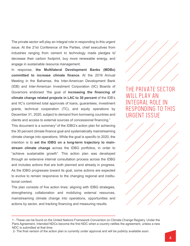The private sector will play an integral role in responding to this urgent issue. At the 21st Conference of the Parties, chief executives from industries ranging from cement to technology made pledges  $to^1$ decrease their carbon footprint, buy more renewable energy, and engage in sustainable resource management.

In response, **the Multilateral Development Banks (MDBs) committed to increase climate finance**. At the 2016 Annual Meeting in the Bahamas, the Inter-American Development Bank (IDB) and Inter-American Investment Corporation (IIC) Boards of Governors endorsed "the goal of **increasing the financing of climate change related projects in LAC to 30 percent** of the IDB's and IIC's combined total approvals of loans, guarantees, investment grants, technical cooperation (TC), and equity operations by December 31, 2020, subject to demand from borrowing countries and clients and access to external sources of concessional financing."

This document is a summary<sup>2</sup> of the IDBG's action plan for achieving the 30 percent climate finance goal and systematically mainstreaming climate change into operations. While the goal is specific to 2020, the intention is to **set the IDBG on a long-term trajectory to mainstream climate change** across the IDBG portfolios, in order to "achieve sustainable growth". This action plan was developed through an extensive internal consultation process across the IDBG and includes actions that are both planned and already in progress. As the IDBG progresses toward its goal, some actions are expected to evolve to remain responsive to the changing regional and institutional context.

The plan consists of five action lines: aligning with IDBG strategies, strengthening collaboration and mobilizing external resources, mainstreaming climate change into operations, opportunities and actions by sector, and tracking financing and measuring results.



THE PRIVATE SECTOR WILL PLAY AN INTEGRAL ROLE IN RESPONDING TO THIS URGENT ISSUE



<sup>1 -</sup> These can be found on the United Nations Framework Convention on Climate Change Registry. Under the Paris Agreement, Intended NDCs become the first NDC when a country ratifies the agreement, unless a new NDC is submitted at that time.

<sup>2-</sup> The final version of the action plan is currently under approval and will be publicly available soon.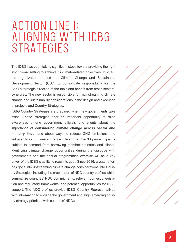# ACTION LINE I: ALIGNING WITH IDBG STRATEGIES

The IDBG has been taking significant steps toward providing the right institutional setting to achieve its climate-related objectives. In 2016, the organization created the Climate Change and Sustainable Development Sector (CSD) to consolidate responsibility for the Bank's strategic direction of the topic and benefit from cross-sectoral synergies. The new sector is responsible for mainstreaming climate change and sustainability considerations in the design and execution of projects and Country Strategies.

IDBG Country Strategies are prepared when new governments take office. These strategies offer an important opportunity to raise awareness among government officials and clients about the importance of **considering climate change across sector and ministry lines**, and about ways to reduce GHG emissions and vulnerabilities to climate change. Given that the 30 percent goal is subject to demand from borrowing member countries and clients, identifying climate change opportunities during the dialogue with governments and the annual programming exercise will be a key driver of the IDBG's ability to reach its goal. Since 2016, greater effort has gone into upstreaming climate change considerations into Country Strategies, including the preparation of NDC country profiles which summarize countries' NDC commitments, relevant domestic legislation and regulatory frameworks, and potential opportunities for IDBG support. The NDC profiles provide IDBG Country Representatives with information to engage the government and align emerging country strategy priorities with countries' NDCs.

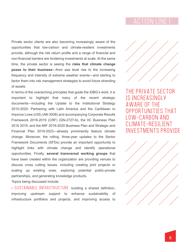Private sector clients are also becoming increasingly aware of the opportunities that low-carbon and climate-resilient investments provide, although the risk return profile and a range of financial and non-financial barriers are hindering investments at scale. At the same time, the private sector is seeing the **risks that climate change poses to their business**—from sea level rise to the increasing frequency and intensity of extreme weather events—and starting to factor them into risk management strategies to avoid future stranding of assets.

In terms of the overarching principles that guide the IDBG's work, it is important to highlight that many of the recent strategic documents—including the Update to the Institutional Strategy 2010-2020: Partnering with Latin America and the Caribbean to Improve Lives (UIS) (AB-3008) and accompanying Corporate Results Framework 2016-2019 (CRF) (GN-2727-6), the IIC Business Plan 2016 2019, and the MIF 2018-2020 Business Plan and Strategic and Financial Plan 2019-2023—already prominently feature climate change. Moreover, the rolling, three-year updates to the Sector Framework Documents (SFDs) provide an important opportunity to highlight links with climate change and identify operational opportunities. Finally, **several transversal working groups** that have been created within the organization are providing venues to discuss cross cutting issues, including creating joint projects or scaling up existing ones, exploring potential public-private partnerships, and generating knowledge products.

Topics being discussed include:

• SUSTAINABLE INFRASTRUCTURE: building a shared definition, improving upstream support to enhance sustainability of infrastructure portfolios and projects, and improving access to



THE PRIVATE SECTOR IS INCREASINGLY AWARE OF THE OPPORTUNITIES THAT LOW-CARBON AND CLIMATE-RESILIENT INVESTMENTS PROVIDE

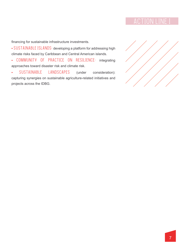financing for sustainable infrastructure investments.

• SUSTAINABLE ISLANDS: developing a platform for addressing high climate risks faced by Caribbean and Central American islands.

• COMMUNITY OF PRACTICE ON RESILIENCE: integrating approaches toward disaster risk and climate risk.

• SUSTAINABLE LANDSCAPES (under consideration): capturing synergies on sustainable agriculture-related initiatives and projects across the IDBG.

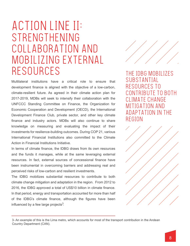# ACTION LINE II: STRENGTHENING COLLABORATION AND MOBILIZING EXTERNAL RESOURCES

Multilateral institutions have a critical role to ensure that development finance is aligned with the objective of a low-carbon, climate-resilient future. As agreed in their climate action plan for 2017-2019, MDBs will seek to intensify their collaboration with the UNFCCC Standing Committee on Finance, the Organization for Economic Cooperation and Development (OECD), the International Development Finance Club, private sector, and other key climate finance and industry actors. MDBs will also continue to share knowledge on measuring and evaluating the impact of their investments for resilience-building outcomes. During COP 21, various International Financial Institutions also committed to the Climate Action in Financial Institutions Initiative.

In terms of climate finance, the IDBG draws from its own resources and the funds it manages, while at the same leveraging external resources. In fact, external sources of concessional finance have been instrumental in overcoming barriers and addressing real and perceived risks of low-carbon and resilient investments.

The IDBG mobilizes substantial resources to contribute to both climate change mitigation and adaptation in the region. From 2012 to 2016, the IDBG approved a total of US\$10 billion in climate finance. In that period, energy and transportation accounted for more than half of the IDBG's climate finance, although the figures have been influenced by a few large projects $3$ .



THE IDBG MOBILIZES SUBSTANTIAL RESOURCES TO NTRIBUTE TO BOTH IMATE CHANGE MITIGATION AND ADAPTATION IN THE REGION



<sup>3-</sup> An example of this is the Lima metro, which accounts for most of the transport contribution in the Andean Country Department (CAN).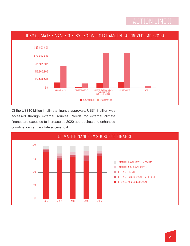

Of the US\$10 billion in climate finance approvals, US\$1.3 billion was accessed through external sources. Needs for external climate finance are expected to increase as 2020 approaches and enhanced coordination can facilitate access to it.

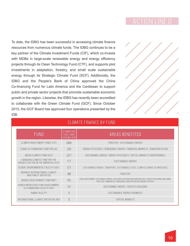To date, the IDBG has been successful in accessing climate finance resources from numerous climate funds. The IDBG continues to be a key partner of the Climate Investment Funds (CIF), which co-invests with MDBs in large-scale renewable energy and energy efficiency projects through its Clean Technology Fund (CTF), and supports pilot investments in adaptation, forestry, and small scale sustainable energy through its Strategic Climate Fund (SCF). Additionally, the IDBG and the People's Bank of China approved the China Co-financing Fund for Latin America and the Caribbean to support public and private sector projects that promote sustainable economic growth in the region. Likewise, the IDBG has recently been accredited to collaborate with the Green Climate Fund (GCF). Since October 2015, the GCF Board has approved four operations presented by the IDB.



#### CLIMATE FINANCE BY FUND

| <b>FUND</b>                                                           | CF MOBILIZED<br>SINCE 2008<br>(US\$ MILLION) | AREAS BENEFITED                                                                                                                                                               |
|-----------------------------------------------------------------------|----------------------------------------------|-------------------------------------------------------------------------------------------------------------------------------------------------------------------------------|
| CLIMATE INVESTMENT FUNDS (CIF)                                        | 608                                          | FORESTRY, SUSTAINABLE ENERGY                                                                                                                                                  |
| CHINA CO-FINANCING FUND FOR LAC                                       | 391                                          | ENERGY EFFICIENCY, RENEWABLE ENERGY, FINANCIAL MARKETS, TRANSPORTATION                                                                                                        |
| GREEN CLIMATE FUND (GCF)                                              | 257                                          | GEOTHERMAL ENERGY, ENERGY EFFICIENCY, CAPITAL MARKETS (GREEN BONDS)                                                                                                           |
| CANADIAN CLIMATE FUND FOR THE<br>PRIVATE SECTOR IN THE AMERICAS (C2F) | 177                                          | SUSTAINABLE ENERGY                                                                                                                                                            |
| GLOBAL ENVIRONMENTAL FACILITY (GEF)                                   | 137                                          | SUSTAINABLE ENERGY, TRANSPORT, SUSTAINABLE CITIES, CLIMATE CHANGE TECHNOLOGIES                                                                                                |
| NORWAY INTERNATIONAL CLIMATE<br>AND FOREST INITIATIVE                 | 80                                           | FORESTRY                                                                                                                                                                      |
| NORDIC DEVELOPMENT FUND (NDF)                                         | 55                                           | CIRCULAR ECONOMY, SUSTAINABLE ENERGY, ECOLOGICAL RESTORATION, AGROFORESTRY, CAPACITY BUILDING (INCLUDING<br>FOR LOCAL COMMUNITIES, INDIGENOUS AND AFRICAN DESCENDANT PEOPLES) |
| KOREA INFRASTRUCTURE DEVELOPMENT<br>CO-FINANCING FACILITY (KIF)       | 33                                           | GEOTHERMAL ENERGY, CAPACITY BUILDING                                                                                                                                          |
| NAMA FACILITY                                                         | $\mathcal{I}$                                | SUSTAINABLE ENERGY (BIOMASS)                                                                                                                                                  |
| INTERNATIONAL CLIMATE INITIATIVE (IKI)                                | 5                                            | CAPITAL MARKETS                                                                                                                                                               |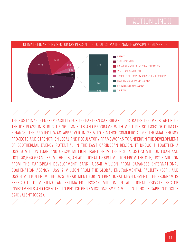

#### CLIMATE FINANCE BY SECTOR (AS PERCENT OF TOTAL CLIMATE FINANCE APPROVED 2012-2016)

### 1 1 1 1 1 1 1 1 1 1 1 1 1 1 1 1

THE SUSTAINABLE ENERGY FACILITY FOR THE EASTERN CARIBBEAN ILLUSTRATES THE IMPORTANT ROLE THE IDB PLAYS IN STRUCTURING PROJECTS AND PROGRAMS WITH MULTIPLE SOURCES OF CLIMATE FINANCE. THE PROJECT WAS APPROVED IN 2016 TO FINANCE COMMERCIAL GEOTHERMAL ENERGY PROJECTS AND STRENGTHEN LEGAL AND REGULATORY FRAMEWORKS TO UNDERPIN THE DEVELOPMENT OF GEOTHERMAL ENERGY POTENTIAL IN THE EAST CARIBBEAN REGION. IT BROUGHT TOGETHER A US\$60 MILLION LOAN AND US\$20 MILLION GRANT FROM THE GCF, A US\$20 MILLION LOAN AND US\$500,000 GRANT FROM THE IDB, AN ADDITIONAL US\$19.1 MILLION FROM THE CTF, US\$10 MILLION FROM THE CARIBBEAN DEVELOPMENT BANK, US\$41 MILLION FROM JAPANESE INTERNATIONAL COOPERATION AGENCY, US\$1.9 MILLION FROM THE GLOBAL ENVIRONMENTAL FACILITY (GEF), AND US\$18 MILLION FROM THE UK'S DEPARTMENT FOR INTERNATIONAL DEVELOPMENT. THE PROGRAM IS EXPECTED TO MOBILIZE AN ESTIMATED US\$340 MILLION IN ADDITIONAL PRIVATE SECTOR INVESTMENTS AND EXPECTED TO REDUCE GHG EMISSIONS BY 9.4 MILLION TONS OF CARBON DIOXIDE EQUIVALENT (CO2E).

1 1 1 1 1 1 1 1 1 1 1 1 1 1 1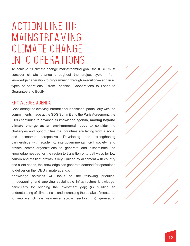# ACTION LINE III: MAINSTREAMING CLIMATE CHANGE INTO OPERATIONS

To achieve its climate change mainstreaming goal, the IDBG must consider climate change throughout the project cycle —from knowledge generation to programming through execution— and in all types of operations —from Technical Cooperations to Loans to Guarantee and Equity.

#### KNOWLEDGE AGENDA

Considering the evolving international landscape, particularly with the commitments made at the SDG Summit and the Paris Agreement, the IDBG continues to advance its knowledge agenda, **moving beyond climate change as an environmental issue** to consider the challenges and opportunities that countries are facing from a social and economic perspective. Developing and strengthening partnerships with academic, intergovernmental, civil society, and private sector organizations to generate and disseminate the knowledge needed for the region to transition onto pathways for low carbon and resilient growth is key. Guided by alignment with country and client needs, the knowledge can generate demand for operations to deliver on the IDBG climate agenda.

Knowledge activities will focus on the following priorities: (i) deepening and applying sustainable infrastructure knowledge, particularly for bridging the investment gap; (ii) building an understanding of climate risks and increasing the uptake of measures to improve climate resilience across sectors; (iii) generating

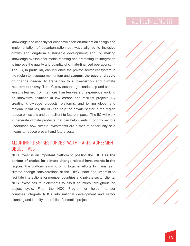knowledge and capacity for economic decision-makers on design and implementation of decarbonization pathways aligned to inclusive growth and long-term sustainable development; and (iv) making knowledge available for mainstreaming and promoting its integration to improve the quality and quantity of climate-financed operations.

The IIC, in particular, can influence the private sector ecosystem in the region to leverage momentum and **support the pace and scale of change needed to transition to a low-carbon and climate resilient economy.** The IIC provides thought leadership and shares lessons learned from its more than ten years of experience working on innovative solutions in low carbon and resilient projects. By creating knowledge products, platforms, and joining global and regional initiatives, the IIC can help the private sector in the region reduce emissions and be resilient to future impacts. The IIC will work to generate climate products that can help clients in priority sectors understand how climate investments are a market opportunity or a means to reduce present and future costs.

### ALIGNING IDBG RESOURCES WITH PARIS AGREEMENT **OBJECTIVES**

NDC Invest is an important platform to position the **IDBG as the partner of choice for climate change-related investments in the region.** The platform aims to bring together efforts to mainstream climate change considerations at the IDBG under one umbrella to facilitate interactions for member countries and private sector clients. NDC Invest has four elements to assist countries throughout the project cycle. First, the NDC Programmer helps member countries integrate NDCs into national development and sector planning and identify a portfolio of potential projects.

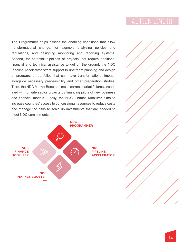The Programmer helps assess the enabling conditions that allow transformational change, for example analyzing policies and regulations, and designing monitoring and reporting systems. Second, for potential pipelines of projects that require additional financial and technical assistance to get off the ground, the NDC Pipeline Accelerator offers support to upstream planning and design of programs or portfolios that can have transformational impact, alongside necessary pre-feasibility and other preparation studies. Third, the NDC Market Booster aims to correct market failures associated with private sector projects by financing pilots of new business and financial models. Finally, the NDC Finance Mobilizer aims to increase countries' access to concessional resources to reduce costs and manage the risks to scale up investments that are needed to meet NDC commitments.



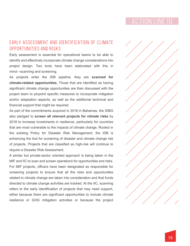### EARLY ASSESSMENT AND IDENTIFICATION OF CLIMATE OPPORTUNITIES AND RISKS

Early assessment is essential for operational teams to be able to identify and effectively incorporate climate change considerations into project design. Two tools have been elaborated with this in mind—scanning and screening.

As projects enter the IDB pipeline, they are **scanned for climate-related opportunities.** Those that are identified as having significant climate change opportunities are then discussed with the project team to pinpoint specific measures to incorporate mitigation and/or adaptation aspects, as well as the additional technical and financial support that might be required.

As part of the commitments acquired in 2016 in Bahamas, the IDBG also pledged to **screen all relevant projects for climate risks** by 2018 to increase investments in resilience, particularly for countries that are most vulnerable to the impacts of climate change. Rooted in the existing Policy for Disaster Risk Management, the IDB is enhancing the tool for screening of disaster and climate change risk of projects. Projects that are classified as high-risk will continue to require a Disaster Risk Assessment.

A similar but private-sector oriented approach is being taken in the MIF and IIC to scan and screen operations for opportunities and risks. For MIF projects, officers have been designated as responsible for screening projects to ensure that all the risks and opportunities related to climate change are taken into consideration and that funds directed to climate change activities are tracked. At the IIC, scanning refers to the early identification of projects that may need support, either because there are significant opportunities to include climate resilience or GHG mitigation activities or because the project

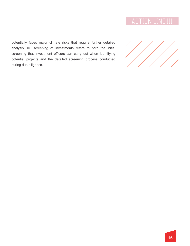potentially faces major climate risks that require further detailed analysis. IIC screening of investments refers to both the initial screening that investment officers can carry out when identifying potential projects and the detailed screening process conducted during due diligence.

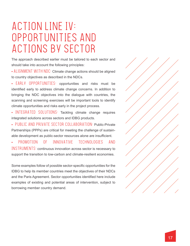# ACTION LINE IV: OPPORTUNITIES AND ACTIONS BY SECTOR

The approach described earlier must be tailored to each sector and should take into account the following principles:

• ALIGNMENT WITH NDC: Climate change actions should be aligned to country objectives as described in the NDCs.

• EARLY OPPORTUNITIES: opportunities and risks must be identified early to address climate change concerns. In addition to bringing the NDC objectives into the dialogue with countries, the scanning and screening exercises will be important tools to identify climate opportunities and risks early in the project process.

• INTEGRATED SOLUTIONS: Tackling climate change requires integrated solutions across sectors and IDBG products.

• PUBLIC AND PRIVATE SECTOR COLLABORATION: Public-Private Partnerships (PPPs) are critical for meeting the challenge of sustainable development as public-sector resources alone are insufficient.

• PROMOTION OF INNOVATIVE TECHNOLOGIES AND INSTRUMENTS: continuous innovation across sector is necessary to support the transition to low-carbon and climate-resilient economies.

Some examples follow of possible sector-specific opportunities for the IDBG to help its member countries meet the objectives of their NDCs and the Paris Agreement. Sector opportunities identified here include examples of existing and potential areas of intervention, subject to borrowing member country demand.

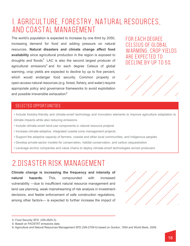### 1. AGRICULTURE, FORESTRY, NATURAL RESOURCES, AND COASTAL MANAGEMENT

The world's population is expected to increase by one third by 2050, increasing demand for food and adding pressure on natural resources. **Natural disasters and climate change affect food availability** since agricultural production in the region is exposed to droughts and floods.<sup>4</sup> LAC is also the second largest producer of agricultural emissions<sup>5</sup> and for each degree Celsius of global warming, crop yields are expected to decline by up to five percent, which would endanger food security. Common property or open-access natural resources (e.g. forest, fishery, and water) require appropriate policy and governance frameworks to avoid exploitation and possible irreversible exhaustion.<sup>6</sup>

FOR EACH DEGREE CELSIUS OF GLOBAL WARMING, CROP YIELDS ARE EXPECTED TO DECLINE BY UP TO 5%



### SELECTED OPPORTUNITIES

- Include forestry-friendly and climate-smart technology and innovation elements to improve agriculture adaptation to climate impacts while also reducing emissions
- Include climate-smart land-use components in natural resource projects
- Increase climate-adaptive, integrated coastal zone management projects
- Support the adaptive capacity of farmers, coastal and other local communities, and indigenous peoples
- Develop private-sector models for conservation, habitat conservation, and carbon sequestration
- Leverage anchor companies and value chains to deploy climate-smart technologies across producers

## 2.DISASTER RISK MANAGEMENT

**Climate change is increasing the frequency and intensity of natural hazards.** This, compounded with increased vulnerability —due to insufficient natural resource management and land use planning, weak mainstreaming of risk analysis in investment decisions, and feeble enforcement of safe construction regulations, among other factors— is expected to further increase the impact of



<sup>4-</sup> Food Security SFD. (GN-2825-3).

<sup>5-</sup> Based on FAOSTAT emissions data.

<sup>6-</sup> Agriculture and Natural Resources Management SFD (GN-2709-5) based on Gordon, 1954 and World Bank, 2009.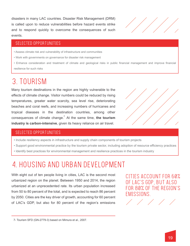disasters in many LAC countries. Disaster Risk Management (DRM) is called upon to reduce vulnerabilities before hazard events strike and to respond quickly to overcome the consequences of such events.



#### SELECTED OPPORTUNITIES

- Assess climate risk and vulnerability of infrastructure and communities
- Work with governments on governance for disaster risk management
- Enhance consideration and treatment of climate and geological risks in public financial management and improve financial resilience for such risks

## 3. TOURISM

consequences of climate change.<sup>7</sup> At the same time, the tourism Many tourism destinations in the region are highly vulnerable to the effects of climate change. Visitor numbers could be reduced by rising temperatures, greater water scarcity, sea level rise, deteriorating beaches and coral reefs, and increasing numbers of hurricanes and tropical diseases in the destination countries, among other **industry is carbon-intensive**, given its heavy reliance on air travel.



#### SELECTED OPPORTUNITIES

- Include resiliency aspects in infrastructure and supply chain components of tourism projects
- Support good environmental practice by the tourism private sector, including adoption of resource efficiency practices
- Identify best practices for environmental management and resilience practices in the tourism industry

### 4. HOUSING AND URBAN DEVELOPMENT

With eight out of ten people living in cities, LAC is the second most urbanized region on the planet. Between 1950 and 2014, the region urbanized at an unprecedented rate. Its urban population increased from 50 to 80 percent of the total, and is expected to reach 86 percent by 2050. Cities are the key driver of growth, accounting for 60 percent of LAC's GDP, but also for 80 percent of the region's emissions

CITIES ACCOUNT FOR 60% OF LAC'S GDP, BUT ALSO FOR 80% OF THE REGION'S **FMISSIONS** 

 <sup>7-</sup> Tourism SFD (GN-2779-3) based on Mimura et al., 2007.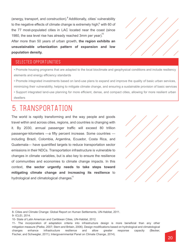(energy, transport, and construction).<sup>8</sup> Additionally, cities' vulnerability to the negative effects of climate change is extremely high, $9$  with 60 of the 77 most-populated cities in LAC located near the coast (since 1980, the sea level rise has already reached 3mm per year).<sup>10</sup>

After more than 50 years of urban growth, **the region exhibits an unsustainable urbanization pattern of expansion and low population density.**

#### SELECTED OPPORTUNITIES

- Promote housing programs that are adapted to the local bioclimate and geophysical conditions and include resiliency elements and energy efficiency standards
- Promote integrated investments based on land-use plans to expand and improve the quality of basic urban services, minimizing their vulnerability, helping to mitigate climate change, and ensuring a sustainable provision of basic services
- Support integrated land-use planning for more efficient, dense, and compact cities, allowing for more resilient urban dwellers

### 5. TRANSPORTATION

The world is rapidly transforming and the way people and goods travel within and across cities, regions, and countries is changing with it. By 2030, annual passenger traffic will exceed 80 trillion passenger-kilometers —a fifty percent increase. Some countries including Brazil, Colombia, Argentina, Ecuador, Costa Rica, and Guatemala— have quantified targets to reduce transportation sector emissions in their NDCs. Transportation infrastructure is vulnerable to changes in climate variables, but is also key to ensure the resilience of communities and economies to climate change impacts. In this context, **the sector urgently needs to take steps toward mitigating climate change and increasing its resilience** to hydrological and climatological changes.<sup>11</sup>



<sup>8-</sup> Cities and Climate Change: Global Report on Human Settlements, UN-Habitat, 2011. 9- ICLEI, 2014.

<sup>10-</sup> State of Latin American and Caribbean Cities, UN-Habitat, 2012.

<sup>11-</sup> The incorporation of adaptation criteria into infrastructure design is more beneficial than any other mitigation measure (Pielke, 2007; Stern and Britain, 2006). Design modifications based on hydrological and climatological changes enhance infrastructure resilience and allow greater response capacity (Becker, Fischer, and Schwegler, 2011); Intergovernmental Panel on Climate Change, 2014).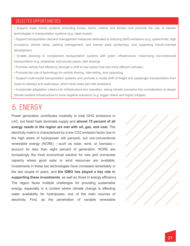#### SELECTED OPPORTUNITIES

• Support mass transit systems (including buses, trams, metros and ferries) and promote the use of cleaner technologies in transportation systems (e.g. clean buses)

• Support transportation demand management measures dedicated to reducing GHG emissions (e.g. speed limits, high occupancy vehicle lanes, parking management, and license plate auctioning); and supporting transit-oriented development

- Enable planning to complement transportation systems with green infrastructure: maximizing non-motorized transportation (e.g. pedestrian and bicycle space, bike sharing)
- Promote vehicle fuel efficiency (through a shift to low-carbon fuel and more efficient vehicles)
- Promote the use of technology for vehicle sharing, ride-hailing, and carpooling
- Support multi-modal transportation systems and promote a modal shift of freight and passenger transportation from roads to railways and waterways, which have lower per-mile emissions
- Incorporate adaptation criteria into infrastructure and operation, taking climate scenarios into consideration to design climate resilient infrastructure to more negative scenarios (e.g. bigger drains and higher bridges)

### 6. ENERGY

Power generation contributes modestly to total GHG emissions in LAC, but fossil fuels dominate supply and **almost 75 percent of all energy needs in the region are met with oil, gas, and coal.** The electricity matrix is characterized by a low CO2 emission factor due to the high share of hydropower (49 percent), but non-conventional renewable energy (NCRE) —such as solar, wind, or biomass account for less than eight percent of generation. NCRE are increasingly the most economical solution for new grid connected capacity where good solar or wind resources are available. Investments in these two technologies have increased remarkably in the last couple of years, and **the IDBG has played a key role in supporting these investments**, as well as those in energy efficiency. The region faces multiple challenges for providing sustainable energy, especially in a context where climate change is affecting water availability for hydropower, one of the main sources of electricity. First, as the penetration of variable renewable

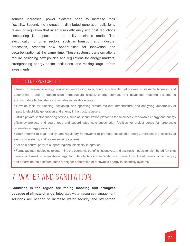sources increases, power systems need to increase their flexibility. Second, the increase in distributed generation calls for a review of regulation that incentivizes efficiency and cost reductions considering its impacts on the utility business model. The electrification of other sectors, such as transport and industrial processes, presents new opportunities for innovation and decarbonization at the same time. These systemic transformations require designing new policies and regulations for energy markets, strengthening energy sector institutions, and making large upfront investments.



#### SELECTED OPPORTUNITIES

- Invest in renewable energy resources —including solar, wind, sustainable hydropower, sustainable biomass, and geothermal— and in transmission infrastructure assets, energy storage, and advanced metering systems to accommodate higher shares of variable renewable energy
- Develop tools for planning, designing, and operating climate-resilient infrastructure; and analyzing vulnerability of inputs to electricity generation and energy infrastructure assets
- Utilize private sector financing options, such as securitization platforms for small-scale renewable energy and energy efficiency projects and guarantees and subordinated note subscription facilities for project bonds for large-scale renewable energy projects
- Seek reforms to legal, policy, and regulatory frameworks to promote sustainable energy, increase the flexibility of electricity systems, and reform subsidy systems
- Act as a neutral party to support regional electricity integration

• Formulate methodologies to determine the economic benefits, incentives, and business models for distributed (on-site) generation based on renewable energy; formulate technical specifications to connect distributed generation to the grid; and determine the optimum paths for higher penetration of renewable energy in electricity systems

### 7. WATER AND SANITATION

**Countries in the region are facing flooding and droughts because of climate change**. Integrated water resource management solutions are needed to increase water security and strengthen

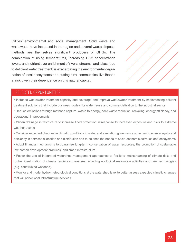utilities' environmental and social management. Solid waste and wastewater have increased in the region and several waste disposal methods are themselves significant producers of GHGs. The combination of rising temperatures, increasing CO2 concentration levels, and nutrient over enrichment of rivers, streams, and lakes (due to deficient water treatment) is exacerbating the environmental degradation of local ecosystems and putting rural communities' livelihoods at risk given their dependence on this natural capital.



#### SELECTED OPPORTUNITIES

• Increase wastewater treatment capacity and coverage and improve wastewater treatment by implementing effluent treatment solutions that include business models for water reuse and commercialization to the industrial sector

• Reduce emissions through methane capture, waste-to-energy, solid waste reduction, recycling, energy efficiency, and operational improvements

• Widen drainage infrastructure to increase flood protection in response to increased exposure and risks to extreme weather events

• Consider expected changes in climatic conditions in water and sanitation governance schemes to ensure equity and efficiency in services allocation and distribution and to balance the needs of socio-economic activities and ecosystems • Adopt financial mechanisms to guarantee long-term conservation of water resources, the promotion of sustainable low-carbon development practices, and smart infrastructure.

• Foster the use of integrated watershed management approaches to facilitate mainstreaming of climate risks and further identification of climate resilience measures, including ecological restoration activities and new technologies (e.g. constructed wetlands).

• Monitor and model hydro-meteorological conditions at the watershed level to better assess expected climatic changes that will affect local infrastructure services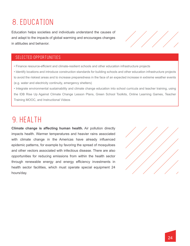## 8. EDUCATION

Education helps societies and individuals understand the causes of and adapt to the impacts of global warming and encourages changes in attitudes and behavior.

### SELECTED OPPORTUNITIES

• Finance resource-efficient and climate-resilient schools and other education infrastructure projects

• Identify locations and introduce construction standards for building schools and other education infrastructure projects to avoid the riskiest areas and to increase preparedness in the face of an expected increase in extreme weather events (e.g. water and electricity continuity, emergency shelters)

• Integrate environmental sustainability and climate change education into school curricula and teacher training, using the IDB Rise Up Against Climate Change Lesson Plans, Green School Toolkits, Online Learning Games, Teacher Training MOOC, and Instructional Videos

### 9. HEALTH

**Climate change is affecting human health.** Air pollution directly impacts health. Warmer temperatures and heavier rains associated with climate change in the Americas have already influenced epidemic patterns, for example by favoring the spread of mosquitoes and other vectors associated with infectious disease. There are also opportunities for reducing emissions from within the health sector through renewable energy and energy efficiency investments in health sector facilities, which must operate special equipment 24 hours/day.



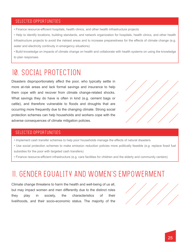#### SELECTED OPPORTUNITIES

- Finance resource-efficient hospitals, health clinics, and other health infrastructure projects
- Help to identify locations, building standards, and network organization for hospitals, health clinics, and other health infrastructure projects to avoid the riskiest areas and to increase preparedness for the effects of climate change (e.g. water and electricity continuity in emergency situations)

• Build knowledge on impacts of climate change on health and collaborate with health systems on using the knowledge to plan responses

## 10. SOCIAL PROTECTION

Disasters disproportionately affect the poor, who typically settle in more at-risk areas and lack formal savings and insurance to help them cope with and recover from climate change-related shocks. What savings they do have is often in kind (e.g. cement bags or cattle), and therefore vulnerable to floods and droughts that are occurring more frequently due to the changing climate. Strong social protection schemes can help households and workers cope with the adverse consequences of climate mitigation policies.



#### SELECTED OPPORTUNITIES

- Implement cash transfer schemes to help poor households manage the effects of natural disasters
- Use social protection schemes to make emission reduction policies more politically feasible (e.g. replace fossil fuel subsidies for the poor with targeted cash transfers)
- Finance resource-efficient infrastructure (e.g. care facilities for children and the elderly and community centers)

### 11. GENDER EQUALITY AND WOMEN'S EMPOWERMENT

Climate change threatens to harm the health and well-being of us all, but may impact women and men differently due to the distinct roles they play in society, the characteristics of their livelihoods, and their socio-economic status. The majority of the

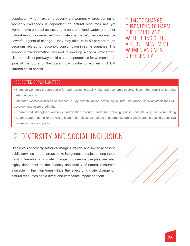population living in extreme poverty are women. A large portion of women's livelihoods is dependent on natural resources and yet women have unequal access to and control of land, water, and other natural resources impacted by climate change. Women can also be powerful agents of change —they may take up to 80 percent of the decisions related to household consumption in some countries. The economic transformation required to develop along a low-carbon, climate-resilient pathway could create opportunities for women in the 'jobs of the future' or the current low number of women in STEM careers could persist.

CLIMATE CHANGE THREATENS TO HARM THE HEALTH AND WELL-BEING OF US ALL, BUT MAY IMPACT WOMEN AND MEN DIFFERENTLY



#### SELECTED OPPORTUNITIES

• Increase women's preparedness for and access to quality jobs and economic opportunities in the transition to a low carbon economy

- Increase women's access to finance in key climate action areas: agricultural insurance, lines of credit for SME development, micro-credit, etc.
- Enable and strengthen women's participation through leadership training, public consultations, decision-making systems support at multiple levels to foster their role as caretakers of natural resources which are increasingly sensitive to climate change impacts

### 12. DIVERSITY AND SOCIAL INCLUSION

High levels of poverty, historical marginalization, and limited access to public services in rural areas make indigenous peoples among those most vulnerable to climate change. Indigenous peoples are also highly dependent on the quantity and quality of natural resources available in their territories—thus the effect of climate change on natural resources has a direct and immediate impact on them.

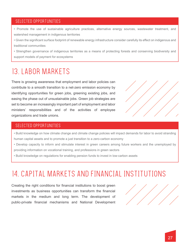#### SELECTED OPPORTUNITIES

- Promote the use of sustainable agriculture practices, alternative energy sources, wastewater treatment, and watershed management in indigenous territories
- Given the significant surface footprint of renewable energy infrastructure consider carefully its effect on indigenous and traditional communities
- Strengthen governance of indigenous territories as a means of protecting forests and conserving biodiversity and support models of payment for ecosystems

### 13. LABOR MARKETS

There is growing awareness that employment and labor policies can contribute to a smooth transition to a net-zero emission economy by identifying opportunities for green jobs, greening existing jobs, and easing the phase out of unsustainable jobs. Green job strategies are set to become an increasingly important part of employment and labor ministers' responsibilities and of the activities of employee organizations and trade unions.



#### SELECTED OPPORTUNITIES

- Build knowledge on how climate change and climate change policies will impact demands for labor to avoid stranding human capital assets and to promote a just transition to a zero-carbon economy
- Develop capacity to inform and stimulate interest in green careers among future workers and the unemployed by providing information on vocational training, and professions in green sectors
- Build knowledge on regulations for enabling pension funds to invest in low-carbon assets

## 14. CAPITAL MARKETS AND FINANCIAL INSTITUTIONS

Creating the right conditions for financial institutions to boost green investments as business opportunities can transform the financial markets in the medium and long term. The development of public-private financial mechanisms and National Development

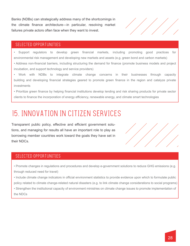Banks (NDBs) can strategically address many of the shortcomings in the climate finance architecture—in particular, resolving market failures private actors often face when they want to invest.

#### SELECTED OPPORTUNITIES

• Support regulators to develop green financial markets, including promoting good practices for environmental risk management and developing new markets and assets (e.g. green bond and carbon markets)

• Address non-financial barriers, including structuring the demand for finance (promote business models and project incubation, and support technology and service providers)

• Work with NDBs to integrate climate change concerns in their businesses through capacity building and developing financial strategies geared to promote green finance in the region and catalyze private investments

• Prioritize green finance by helping financial institutions develop lending and risk sharing products for private sector clients to finance the incorporation of energy efficiency, renewable energy, and climate smart technologies

## 15. INNOVATION IN CITIZEN SERVICES

Transparent public policy, effective and efficient government solutions, and managing for results all have an important role to play as borrowing member countries work toward the goals they have set in their NDCs.



#### SELECTED OPPORTUNITIES

• Promote changes in regulations and procedures and develop e-government solutions to reduce GHG emissions (e.g. through reduced need for travel)

• Include climate change indicators in official environment statistics to provide evidence upon which to formulate public policy related to climate change-related natural disasters (e.g. to link climate change considerations to social programs)

• Strengthen the institutional capacity of environment ministries on climate change issues to promote implementation of the NDCs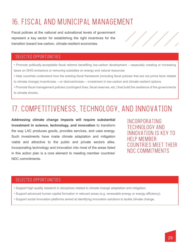## 16. FISCAL AND MUNICIPAL MANAGEMENT

Fiscal policies at the national and subnational levels of government represent a key sector for establishing the right incentives for the transition toward low-carbon, climate-resilient economies.

### SELECTED OPPORTUNITIES

• Promote politically-acceptable fiscal reforms benefiting low-carbon development —especially creating or increasing taxes on GHG emissions or removing subsidies on energy and natural resources

• Help countries understand how the existing fiscal framework (including fiscal policies that are not *prima facie* related to climate change) incentivizes —or disincentivizes— investment in low-carbon and climate resilient options

• Promote fiscal management policies (contingent lines, fiscal reserves, etc.) that build the resilience of the governments to climate shocks.

## 17. COMPETITIVENESS, TECHNOLOGY, AND INNOVATION

**Addressing climate change impacts will require substantial investment in science, technology, and innovation** to transform the way LAC produces goods, provides services, and uses energy. Such investments have made climate adaptation and mitigation viable and attractive to the public and private sectors alike. Incorporating technology and innovation into most of the areas listed in this action plan is a core element to meeting member countries' NDC commitments.

INCORPORATING TECHNOLOGY AND INNOVATION IS KEY TO HELP MEMBER COUNTRIES MEET THEIR NDC COMMITMENTS

### SELECTED OPPORTUNITIES

- Support high quality research in disciplines related to climate change adaptation and mitigation.
- Support advanced human capital formation in relevant areas (e.g. renewable energy or energy efficiency).
- Support social innovation platforms aimed at identifying innovation solutions to tackle climate change.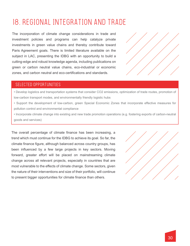## 18. REGIONAL INTEGRATION AND TRADE

The incorporation of climate change considerations in trade and investment policies and programs can help catalyze private investments in green value chains and thereby contribute toward Paris Agreement goals. There is limited literature available on the subject in LAC, presenting the IDBG with an opportunity to build a cutting-edge and robust knowledge agenda, including publications on green or carbon neutral value chains, eco-industrial or economic zones, and carbon neutral and eco-certifications and standards.



#### SELECTED OPPORTUNITIES

- Develop logistics and transportation systems that consider CO2 emissions, optimization of trade routes, promotion of low-carbon transport modes, and environmentally friendly logistic hubs
- Support the development of low-carbon, green Special Economic Zones that incorporate effective measures for pollution control and environmental compliance
- Incorporate climate change into existing and new trade promotion operations (e.g. fostering exports of carbon-neutral goods and services)

The overall percentage of climate finance has been increasing, a trend which must continue for the IDBG to achieve its goal. So far, the climate finance figure, although balanced across country groups, has been influenced by a few large projects in key sectors. Moving forward, greater effort will be placed on mainstreaming climate change across all relevant projects, especially in countries that are most vulnerable to the effects of climate change. Some sectors, given the nature of their interventions and size of their portfolio, will continue to present bigger opportunities for climate finance than others.

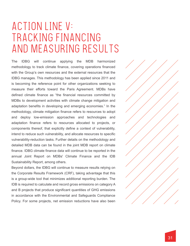# ACTION LINE V: TRACKING FINANCING AND MEASURING RESULTS

The IDBG will continue applying the MDB harmonized methodology to track climate finance, covering operations financed with the Group's own resources and the external resources that the IDBG manages. This methodology has been applied since 2011 and is becoming the reference point for other organizations seeking to measure their efforts toward the Paris Agreement. MDBs have defined climate finance as "the financial resources committed by MDBs to development activities with climate change mitigation and adaptation benefits in developing and emerging economies." In the methodology, climate mitigation finance refers to resources to adopt and deploy low-emission approaches and technologies and adaptation finance refers to resources allocated to projects, or components thereof, that explicitly define a context of vulnerability, intend to reduce such vulnerability, and allocate resources to specific vulnerability-reduction tasks. Further details on the methodology and detailed MDB data can be found in the joint MDB report on climate finance. IDBG climate finance data will continue to be reported in the annual Joint Report on MDBs' Climate Finance and the IDB Sustainability Report, among others.

Beyond dollars, the IDBG will continue to measure results relying on the Corporate Results Framework (CRF), taking advantage that this is a group-wide tool that minimizes additional reporting burden. The IDB is required to calculate and record gross emissions on category A and B projects that produce significant quantities of GHG emissions in accordance with the Environmental and Safeguards Compliance Policy. For some projects, net emission reductions have also been

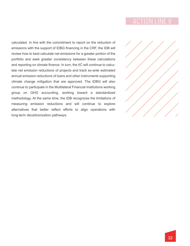calculated. In line with the commitment to report on the reduction of emissions with the support of IDBG financing in the CRF, the IDB will review how to best calculate net emissions for a greater portion of the portfolio and seek greater consistency between these calculations and reporting on climate finance. In turn, the IIC will continue to calculate net emission reductions of projects and track ex-ante estimated annual emission reductions of loans and other instruments supporting climate change mitigation that are approved. The IDBG will also continue to participate in the Multilateral Financial Institutions working group on GHG accounting, working toward a standardized methodology. At the same time, the IDB recognizes the limitations of measuring emission reductions and will continue to explore alternatives that better reflect efforts to align operations with long-term decarbonization pathways.

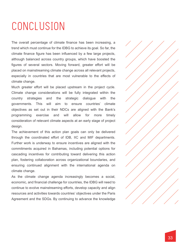# CONCLUSION

The overall percentage of climate finance has been increasing, a trend which must continue for the IDBG to achieve its goal. So far, the climate finance figure has been influenced by a few large projects, although balanced across country groups, which have boosted the figures of several sectors. Moving forward, greater effort will be placed on mainstreaming climate change across all relevant projects, especially in countries that are most vulnerable to the effects of climate change.

Much greater effort will be placed upstream in the project cycle. Climate change considerations will be fully integrated within the country strategies and the strategic dialogue with the governments. This will aim to ensure countries' climate objectives as set out in their NDCs are aligned with the Bank's programming exercise and will allow for more timely consideration of relevant climate aspects at an early stage of project design.

The achievement of this action plan goals can only be delivered through the coordinated effort of IDB, IIC and MIF departments. Further work is underway to ensure incentives are aligned with the commitments acquired in Bahamas, including potential options for cascading incentives for contributing toward delivering this action plan, fostering collaboration across organizational boundaries, and ensuring continued alignment with the international agenda on climate change.

As the climate change agenda increasingly becomes a social, economic, and financial challenge for countries, the IDBG will need to continue to evolve mainstreaming efforts, develop capacity and align resources and activities towards countries' objectives under the Paris Agreement and the SDGs. By continuing to advance the knowledge

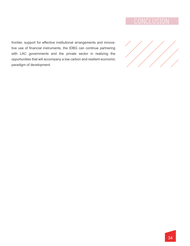frontier, support for effective institutional arrangements and innovative use of financial instruments, the IDBG can continue partnering with LAC governments and the private sector in realizing the opportunities that will accompany a low carbon and resilient economic paradigm of development.